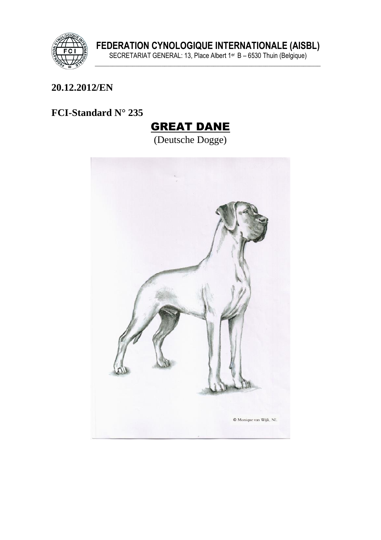

FEDERATION CYNOLOGIQUE INTERNATIONALE (AISBL)<br>SECRETARIAT GENERAL: 13, Place Albert 1<sup>er</sup> B – 6530 Thuin (Belgique)

#### 20.12.2012/EN

# FCI-Standard N° 235

# **GREAT DANE**

(Deutsche Dogge)

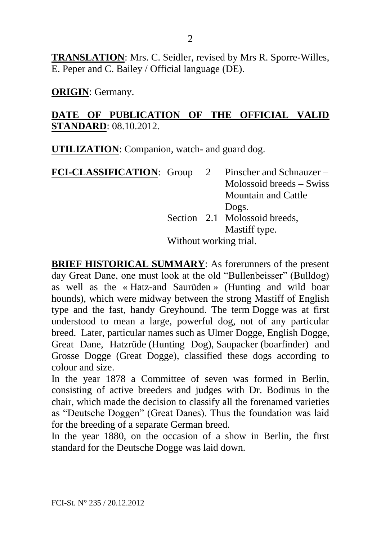**TRANSLATION**: Mrs. C. Seidler, revised by Mrs R. Sporre-Willes, E. Peper and C. Bailey / Official language (DE).

**ORIGIN**: Germany.

#### **DATE OF PUBLICATION OF THE OFFICIAL VALID STANDARD**: 08.10.2012.

**UTILIZATION**: Companion, watch- and guard dog.

| <b>FCI-CLASSIFICATION:</b> Group 2 Pinscher and Schnauzer – |                        |  |                               |
|-------------------------------------------------------------|------------------------|--|-------------------------------|
|                                                             |                        |  | $Molossoid$ breeds $-Swiss$   |
|                                                             |                        |  | <b>Mountain and Cattle</b>    |
|                                                             |                        |  | Dogs.                         |
|                                                             |                        |  | Section 2.1 Molossoid breeds, |
|                                                             |                        |  | Mastiff type.                 |
|                                                             | Without working trial. |  |                               |

**BRIEF HISTORICAL SUMMARY**: As forerunners of the present day Great Dane, one must look at the old "Bullenbeisser" (Bulldog) as well as the « Hatz-and Saurüden » (Hunting and wild boar hounds), which were midway between the strong Mastiff of English type and the fast, handy Greyhound. The term Dogge was at first understood to mean a large, powerful dog, not of any particular breed. Later, particular names such as Ulmer Dogge, English Dogge, Great Dane, Hatzrüde (Hunting Dog), Saupacker (boarfinder) and Grosse Dogge (Great Dogge), classified these dogs according to colour and size.

In the year 1878 a Committee of seven was formed in Berlin, consisting of active breeders and judges with Dr. Bodinus in the chair, which made the decision to classify all the forenamed varieties as "Deutsche Doggen" (Great Danes). Thus the foundation was laid for the breeding of a separate German breed.

In the year 1880, on the occasion of a show in Berlin, the first standard for the Deutsche Dogge was laid down.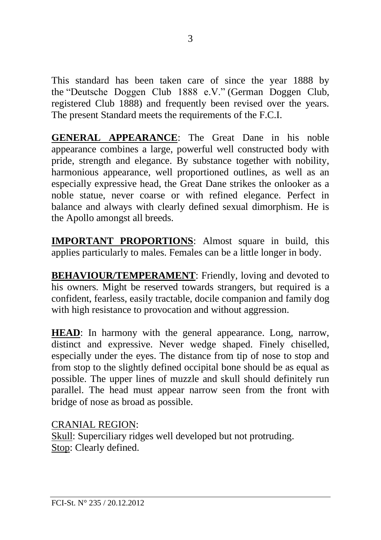This standard has been taken care of since the year 1888 by the "Deutsche Doggen Club 1888 e.V." (German Doggen Club, registered Club 1888) and frequently been revised over the years. The present Standard meets the requirements of the F.C.I.

**GENERAL APPEARANCE**: The Great Dane in his noble appearance combines a large, powerful well constructed body with pride, strength and elegance. By substance together with nobility, harmonious appearance, well proportioned outlines, as well as an especially expressive head, the Great Dane strikes the onlooker as a noble statue, never coarse or with refined elegance. Perfect in balance and always with clearly defined sexual dimorphism. He is the Apollo amongst all breeds.

**IMPORTANT PROPORTIONS**: Almost square in build, this applies particularly to males. Females can be a little longer in body.

**BEHAVIOUR/TEMPERAMENT:** Friendly, loving and devoted to his owners. Might be reserved towards strangers, but required is a confident, fearless, easily tractable, docile companion and family dog with high resistance to provocation and without aggression.

**HEAD**: In harmony with the general appearance. Long, narrow, distinct and expressive. Never wedge shaped. Finely chiselled, especially under the eyes. The distance from tip of nose to stop and from stop to the slightly defined occipital bone should be as equal as possible. The upper lines of muzzle and skull should definitely run parallel. The head must appear narrow seen from the front with bridge of nose as broad as possible.

#### CRANIAL REGION:

Skull: Superciliary ridges well developed but not protruding. Stop: Clearly defined.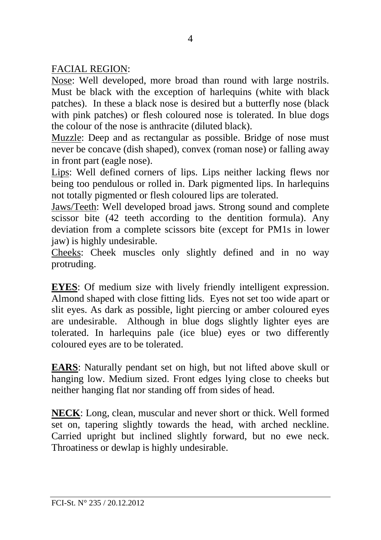FACIAL REGION:

Nose: Well developed, more broad than round with large nostrils. Must be black with the exception of harlequins (white with black patches). In these a black nose is desired but a butterfly nose (black with pink patches) or flesh coloured nose is tolerated. In blue dogs the colour of the nose is anthracite (diluted black).

Muzzle: Deep and as rectangular as possible. Bridge of nose must never be concave (dish shaped), convex (roman nose) or falling away in front part (eagle nose).

Lips: Well defined corners of lips. Lips neither lacking flews nor being too pendulous or rolled in. Dark pigmented lips. In harlequins not totally pigmented or flesh coloured lips are tolerated.

Jaws/Teeth: Well developed broad jaws. Strong sound and complete scissor bite (42 teeth according to the dentition formula). Any deviation from a complete scissors bite (except for PM1s in lower jaw) is highly undesirable.

Cheeks: Cheek muscles only slightly defined and in no way protruding.

**EYES**: Of medium size with lively friendly intelligent expression. Almond shaped with close fitting lids. Eyes not set too wide apart or slit eyes. As dark as possible, light piercing or amber coloured eyes are undesirable. Although in blue dogs slightly lighter eyes are tolerated. In harlequins pale (ice blue) eyes or two differently coloured eyes are to be tolerated.

**EARS**: Naturally pendant set on high, but not lifted above skull or hanging low. Medium sized. Front edges lying close to cheeks but neither hanging flat nor standing off from sides of head.

**NECK**: Long, clean, muscular and never short or thick. Well formed set on, tapering slightly towards the head, with arched neckline. Carried upright but inclined slightly forward, but no ewe neck. Throatiness or dewlap is highly undesirable.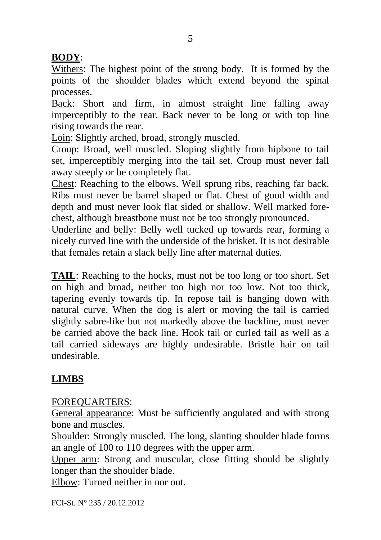## **BODY**:

Withers: The highest point of the strong body. It is formed by the points of the shoulder blades which extend beyond the spinal processes.

Back: Short and firm, in almost straight line falling away imperceptibly to the rear. Back never to be long or with top line rising towards the rear.

Loin: Slightly arched, broad, strongly muscled.

Croup: Broad, well muscled. Sloping slightly from hipbone to tail set, imperceptibly merging into the tail set. Croup must never fall away steeply or be completely flat.

Chest: Reaching to the elbows. Well sprung ribs, reaching far back. Ribs must never be barrel shaped or flat. Chest of good width and depth and must never look flat sided or shallow. Well marked forechest, although breastbone must not be too strongly pronounced.

Underline and belly: Belly well tucked up towards rear, forming a nicely curved line with the underside of the brisket. It is not desirable that females retain a slack belly line after maternal duties.

**TAIL**: Reaching to the hocks, must not be too long or too short. Set on high and broad, neither too high nor too low. Not too thick, tapering evenly towards tip. In repose tail is hanging down with natural curve. When the dog is alert or moving the tail is carried slightly sabre-like but not markedly above the backline, must never be carried above the back line. Hook tail or curled tail as well as a tail carried sideways are highly undesirable. Bristle hair on tail undesirable.

# **LIMBS**

## FOREQUARTERS:

General appearance: Must be sufficiently angulated and with strong bone and muscles.

Shoulder: Strongly muscled. The long, slanting shoulder blade forms an angle of 100 to 110 degrees with the upper arm.

Upper arm: Strong and muscular, close fitting should be slightly longer than the shoulder blade.

Elbow: Turned neither in nor out.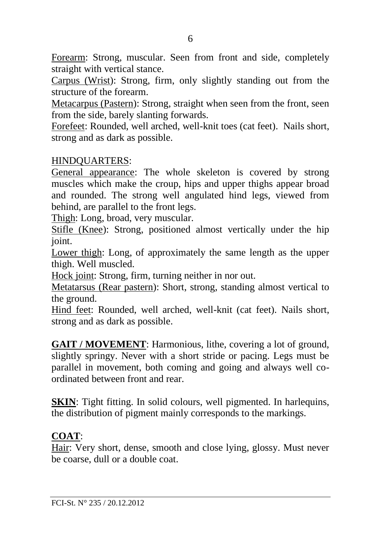Forearm: Strong, muscular. Seen from front and side, completely straight with vertical stance.

Carpus (Wrist): Strong, firm, only slightly standing out from the structure of the forearm.

Metacarpus (Pastern): Strong, straight when seen from the front, seen from the side, barely slanting forwards.

Forefeet: Rounded, well arched, well-knit toes (cat feet). Nails short, strong and as dark as possible.

#### HINDQUARTERS:

General appearance: The whole skeleton is covered by strong muscles which make the croup, hips and upper thighs appear broad and rounded. The strong well angulated hind legs, viewed from behind, are parallel to the front legs.

Thigh: Long, broad, very muscular.

Stifle (Knee): Strong, positioned almost vertically under the hip joint.

Lower thigh: Long, of approximately the same length as the upper thigh. Well muscled.

Hock joint: Strong, firm, turning neither in nor out.

Metatarsus (Rear pastern): Short, strong, standing almost vertical to the ground.

Hind feet: Rounded, well arched, well-knit (cat feet). Nails short, strong and as dark as possible.

**GAIT / MOVEMENT**: Harmonious, lithe, covering a lot of ground, slightly springy. Never with a short stride or pacing. Legs must be parallel in movement, both coming and going and always well coordinated between front and rear.

**SKIN**: Tight fitting. In solid colours, well pigmented. In harlequins, the distribution of pigment mainly corresponds to the markings.

#### **COAT**:

Hair: Very short, dense, smooth and close lying, glossy. Must never be coarse, dull or a double coat.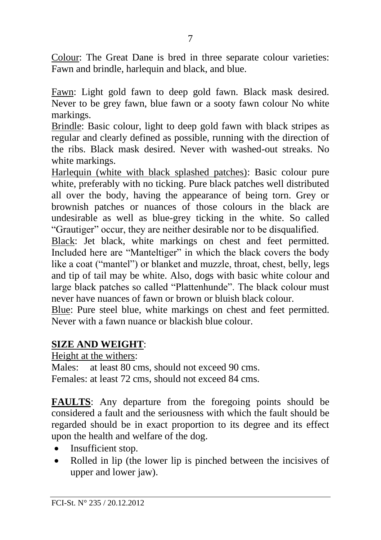Colour: The Great Dane is bred in three separate colour varieties: Fawn and brindle, harlequin and black, and blue.

Fawn: Light gold fawn to deep gold fawn. Black mask desired. Never to be grey fawn, blue fawn or a sooty fawn colour No white markings.

Brindle: Basic colour, light to deep gold fawn with black stripes as regular and clearly defined as possible, running with the direction of the ribs. Black mask desired. Never with washed-out streaks. No white markings.

Harlequin (white with black splashed patches): Basic colour pure white, preferably with no ticking. Pure black patches well distributed all over the body, having the appearance of being torn. Grey or brownish patches or nuances of those colours in the black are undesirable as well as blue-grey ticking in the white. So called "Grautiger" occur, they are neither desirable nor to be disqualified.

Black: Jet black, white markings on chest and feet permitted. Included here are "Manteltiger" in which the black covers the body like a coat ("mantel") or blanket and muzzle, throat, chest, belly, legs and tip of tail may be white. Also, dogs with basic white colour and large black patches so called "Plattenhunde". The black colour must never have nuances of fawn or brown or bluish black colour.

Blue: Pure steel blue, white markings on chest and feet permitted. Never with a fawn nuance or blackish blue colour.

#### **SIZE AND WEIGHT**:

Height at the withers:

Males: at least 80 cms, should not exceed 90 cms. Females: at least 72 cms, should not exceed 84 cms.

**FAULTS**: Any departure from the foregoing points should be considered a fault and the seriousness with which the fault should be regarded should be in exact proportion to its degree and its effect upon the health and welfare of the dog.

- Insufficient stop.
- Rolled in lip (the lower lip is pinched between the incisives of upper and lower jaw).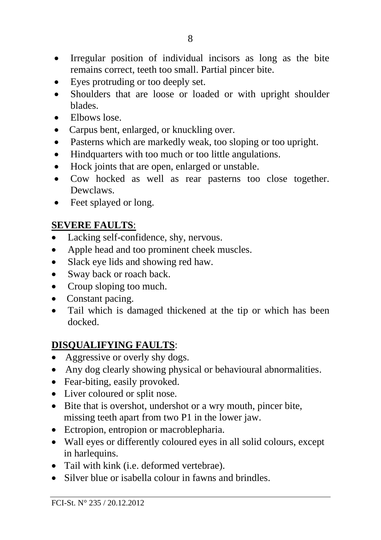- Irregular position of individual incisors as long as the bite remains correct, teeth too small. Partial pincer bite.
- Eyes protruding or too deeply set.
- Shoulders that are loose or loaded or with upright shoulder blades.
- Elbows lose.
- Carpus bent, enlarged, or knuckling over.
- Pasterns which are markedly weak, too sloping or too upright.
- Hindquarters with too much or too little angulations.
- Hock joints that are open, enlarged or unstable.
- Cow hocked as well as rear pasterns too close together. Dewclaws.
- Feet splayed or long.

## **SEVERE FAULTS**:

- Lacking self-confidence, shy, nervous.
- Apple head and too prominent cheek muscles.
- Slack eye lids and showing red haw.
- Sway back or roach back.
- Croup sloping too much.
- Constant pacing.
- Tail which is damaged thickened at the tip or which has been docked.

## **DISQUALIFYING FAULTS**:

- Aggressive or overly shy dogs.
- Any dog clearly showing physical or behavioural abnormalities.
- Fear-biting, easily provoked.
- Liver coloured or split nose.
- Bite that is overshot, undershot or a wry mouth, pincer bite, missing teeth apart from two P1 in the lower jaw.
- Ectropion, entropion or macroblepharia.
- Wall eyes or differently coloured eyes in all solid colours, except in harlequins.
- Tail with kink (i.e. deformed vertebrae).
- Silver blue or isabella colour in fawns and brindles.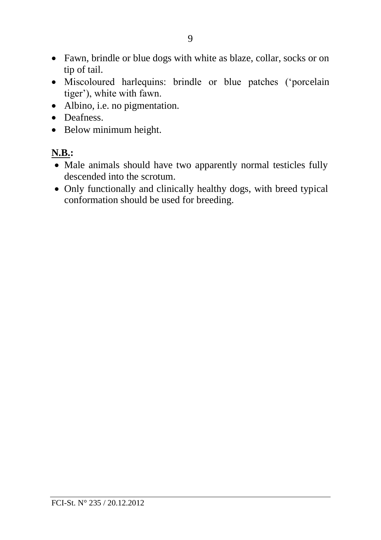- Fawn, brindle or blue dogs with white as blaze, collar, socks or on tip of tail.
- Miscoloured harlequins: brindle or blue patches ('porcelain tiger'), white with fawn.
- Albino, i.e. no pigmentation.
- Deafness.
- Below minimum height.

# **N.B.:**

- Male animals should have two apparently normal testicles fully descended into the scrotum.
- Only functionally and clinically healthy dogs, with breed typical conformation should be used for breeding.